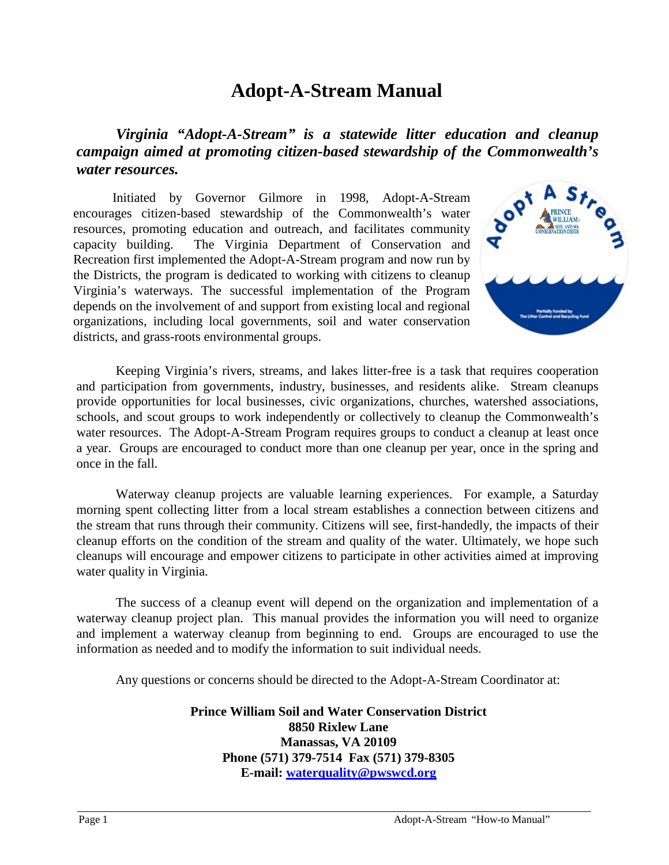### **Adopt-A-Stream Manual**

*Virginia "Adopt-A-Stream" is a statewide litter education and cleanup campaign aimed at promoting citizen-based stewardship of the Commonwealth's water resources.*

Initiated by Governor Gilmore in 1998, Adopt-A-Stream encourages citizen-based stewardship of the Commonwealth's water resources, promoting education and outreach, and facilitates community capacity building. The Virginia Department of Conservation and Recreation first implemented the Adopt-A-Stream program and now run by the Districts, the program is dedicated to working with citizens to cleanup Virginia's waterways. The successful implementation of the Program depends on the involvement of and support from existing local and regional organizations, including local governments, soil and water conservation districts, and grass-roots environmental groups.



Keeping Virginia's rivers, streams, and lakes litter-free is a task that requires cooperation and participation from governments, industry, businesses, and residents alike. Stream cleanups provide opportunities for local businesses, civic organizations, churches, watershed associations, schools, and scout groups to work independently or collectively to cleanup the Commonwealth's water resources. The Adopt-A-Stream Program requires groups to conduct a cleanup at least once a year. Groups are encouraged to conduct more than one cleanup per year, once in the spring and once in the fall.

Waterway cleanup projects are valuable learning experiences. For example, a Saturday morning spent collecting litter from a local stream establishes a connection between citizens and the stream that runs through their community. Citizens will see, first-handedly, the impacts of their cleanup efforts on the condition of the stream and quality of the water. Ultimately, we hope such cleanups will encourage and empower citizens to participate in other activities aimed at improving water quality in Virginia.

The success of a cleanup event will depend on the organization and implementation of a waterway cleanup project plan. This manual provides the information you will need to organize and implement a waterway cleanup from beginning to end. Groups are encouraged to use the information as needed and to modify the information to suit individual needs.

Any questions or concerns should be directed to the Adopt-A-Stream Coordinator at:

**Prince William Soil and Water Conservation District 8850 Rixlew Lane Manassas, VA 20109 Phone (571) 379-7514 Fax (571) 379-8305 E-mail: waterquality@pwswcd.org**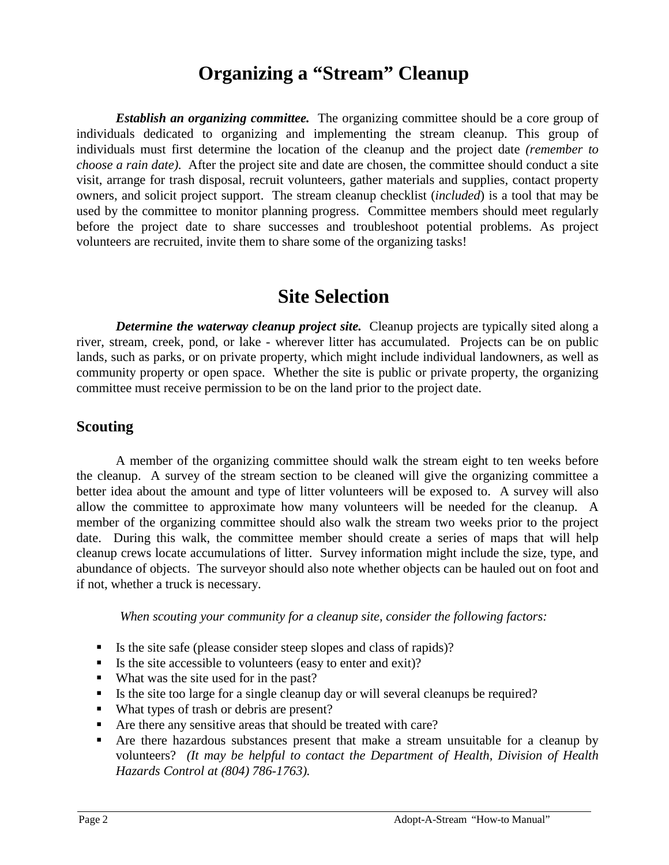### **Organizing a "Stream" Cleanup**

*Establish an organizing committee.* The organizing committee should be a core group of individuals dedicated to organizing and implementing the stream cleanup. This group of individuals must first determine the location of the cleanup and the project date *(remember to choose a rain date)*. After the project site and date are chosen, the committee should conduct a site visit, arrange for trash disposal, recruit volunteers, gather materials and supplies, contact property owners, and solicit project support. The stream cleanup checklist (*included*) is a tool that may be used by the committee to monitor planning progress. Committee members should meet regularly before the project date to share successes and troubleshoot potential problems. As project volunteers are recruited, invite them to share some of the organizing tasks!

### **Site Selection**

*Determine the waterway cleanup project site.* Cleanup projects are typically sited along a river, stream, creek, pond, or lake - wherever litter has accumulated. Projects can be on public lands, such as parks, or on private property, which might include individual landowners, as well as community property or open space. Whether the site is public or private property, the organizing committee must receive permission to be on the land prior to the project date.

#### **Scouting**

A member of the organizing committee should walk the stream eight to ten weeks before the cleanup. A survey of the stream section to be cleaned will give the organizing committee a better idea about the amount and type of litter volunteers will be exposed to. A survey will also allow the committee to approximate how many volunteers will be needed for the cleanup. A member of the organizing committee should also walk the stream two weeks prior to the project date. During this walk, the committee member should create a series of maps that will help cleanup crews locate accumulations of litter. Survey information might include the size, type, and abundance of objects. The surveyor should also note whether objects can be hauled out on foot and if not, whether a truck is necessary.

*When scouting your community for a cleanup site, consider the following factors:*

- Is the site safe (please consider steep slopes and class of rapids)?
- Is the site accessible to volunteers (easy to enter and exit)?
- What was the site used for in the past?
- If Its the site too large for a single cleanup day or will several cleanups be required?
- What types of trash or debris are present?
- Are there any sensitive areas that should be treated with care?
- Are there hazardous substances present that make a stream unsuitable for a cleanup by volunteers? *(It may be helpful to contact the Department of Health, Division of Health Hazards Control at (804) 786-1763).*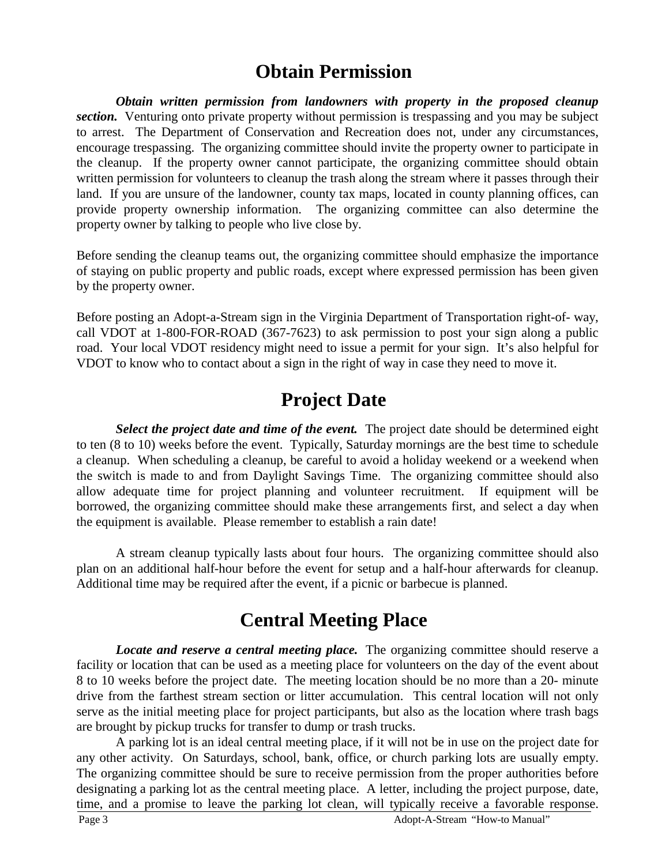### **Obtain Permission**

*Obtain written permission from landowners with property in the proposed cleanup section.* Venturing onto private property without permission is trespassing and you may be subject to arrest. The Department of Conservation and Recreation does not, under any circumstances, encourage trespassing. The organizing committee should invite the property owner to participate in the cleanup. If the property owner cannot participate, the organizing committee should obtain written permission for volunteers to cleanup the trash along the stream where it passes through their land. If you are unsure of the landowner, county tax maps, located in county planning offices, can provide property ownership information. The organizing committee can also determine the property owner by talking to people who live close by.

Before sending the cleanup teams out, the organizing committee should emphasize the importance of staying on public property and public roads, except where expressed permission has been given by the property owner.

Before posting an Adopt-a-Stream sign in the Virginia Department of Transportation right-of- way, call VDOT at 1-800-FOR-ROAD (367-7623) to ask permission to post your sign along a public road. Your local VDOT residency might need to issue a permit for your sign. It's also helpful for VDOT to know who to contact about a sign in the right of way in case they need to move it.

## **Project Date**

*Select the project date and time of the event.* The project date should be determined eight to ten (8 to 10) weeks before the event. Typically, Saturday mornings are the best time to schedule a cleanup. When scheduling a cleanup, be careful to avoid a holiday weekend or a weekend when the switch is made to and from Daylight Savings Time. The organizing committee should also allow adequate time for project planning and volunteer recruitment. If equipment will be borrowed, the organizing committee should make these arrangements first, and select a day when the equipment is available. Please remember to establish a rain date!

A stream cleanup typically lasts about four hours. The organizing committee should also plan on an additional half-hour before the event for setup and a half-hour afterwards for cleanup. Additional time may be required after the event, if a picnic or barbecue is planned.

## **Central Meeting Place**

*Locate and reserve a central meeting place.* The organizing committee should reserve a facility or location that can be used as a meeting place for volunteers on the day of the event about 8 to 10 weeks before the project date. The meeting location should be no more than a 20- minute drive from the farthest stream section or litter accumulation. This central location will not only serve as the initial meeting place for project participants, but also as the location where trash bags are brought by pickup trucks for transfer to dump or trash trucks.

A parking lot is an ideal central meeting place, if it will not be in use on the project date for any other activity. On Saturdays, school, bank, office, or church parking lots are usually empty. The organizing committee should be sure to receive permission from the proper authorities before designating a parking lot as the central meeting place. A letter, including the project purpose, date, time, and a promise to leave the parking lot clean, will typically receive a favorable response.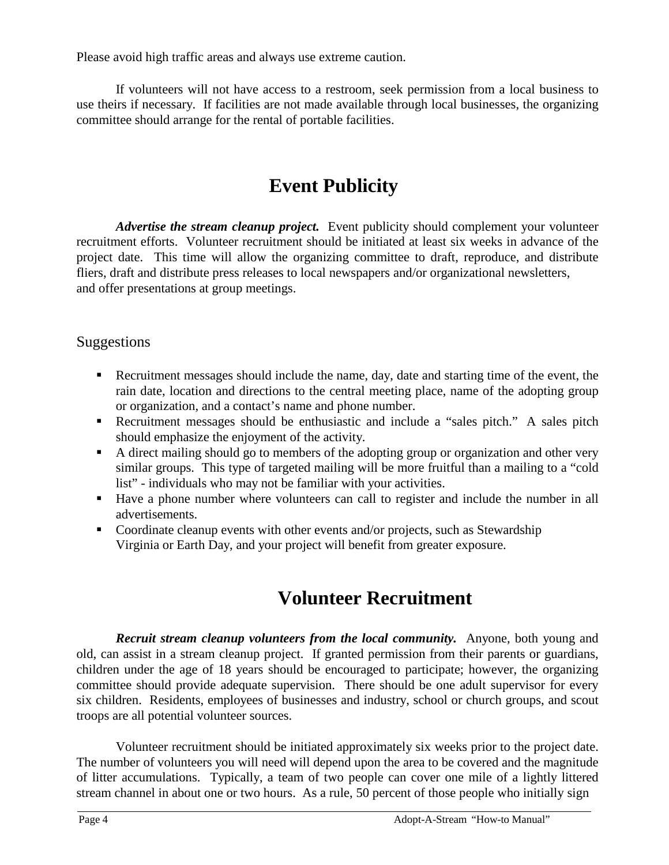Please avoid high traffic areas and always use extreme caution.

If volunteers will not have access to a restroom, seek permission from a local business to use theirs if necessary. If facilities are not made available through local businesses, the organizing committee should arrange for the rental of portable facilities.

# **Event Publicity**

*Advertise the stream cleanup project.* Event publicity should complement your volunteer recruitment efforts. Volunteer recruitment should be initiated at least six weeks in advance of the project date. This time will allow the organizing committee to draft, reproduce, and distribute fliers, draft and distribute press releases to local newspapers and/or organizational newsletters, and offer presentations at group meetings.

#### Suggestions

- Recruitment messages should include the name, day, date and starting time of the event, the rain date, location and directions to the central meeting place, name of the adopting group or organization, and a contact's name and phone number.
- Recruitment messages should be enthusiastic and include a "sales pitch." A sales pitch should emphasize the enjoyment of the activity.
- A direct mailing should go to members of the adopting group or organization and other very similar groups. This type of targeted mailing will be more fruitful than a mailing to a "cold list" - individuals who may not be familiar with your activities.
- Have a phone number where volunteers can call to register and include the number in all advertisements.
- Coordinate cleanup events with other events and/or projects, such as Stewardship Virginia or Earth Day, and your project will benefit from greater exposure.

# **Volunteer Recruitment**

*Recruit stream cleanup volunteers from the local community.* Anyone, both young and old, can assist in a stream cleanup project. If granted permission from their parents or guardians, children under the age of 18 years should be encouraged to participate; however, the organizing committee should provide adequate supervision. There should be one adult supervisor for every six children. Residents, employees of businesses and industry, school or church groups, and scout troops are all potential volunteer sources.

Volunteer recruitment should be initiated approximately six weeks prior to the project date. The number of volunteers you will need will depend upon the area to be covered and the magnitude of litter accumulations. Typically, a team of two people can cover one mile of a lightly littered stream channel in about one or two hours. As a rule, 50 percent of those people who initially sign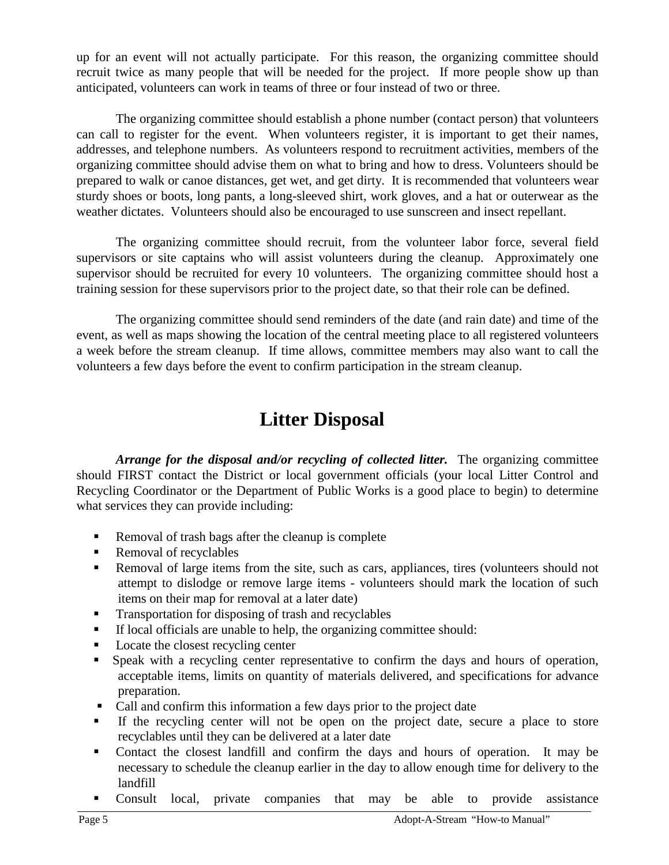up for an event will not actually participate. For this reason, the organizing committee should recruit twice as many people that will be needed for the project. If more people show up than anticipated, volunteers can work in teams of three or four instead of two or three.

The organizing committee should establish a phone number (contact person) that volunteers can call to register for the event. When volunteers register, it is important to get their names, addresses, and telephone numbers. As volunteers respond to recruitment activities, members of the organizing committee should advise them on what to bring and how to dress. Volunteers should be prepared to walk or canoe distances, get wet, and get dirty. It is recommended that volunteers wear sturdy shoes or boots, long pants, a long-sleeved shirt, work gloves, and a hat or outerwear as the weather dictates. Volunteers should also be encouraged to use sunscreen and insect repellant.

The organizing committee should recruit, from the volunteer labor force, several field supervisors or site captains who will assist volunteers during the cleanup. Approximately one supervisor should be recruited for every 10 volunteers. The organizing committee should host a training session for these supervisors prior to the project date, so that their role can be defined.

The organizing committee should send reminders of the date (and rain date) and time of the event, as well as maps showing the location of the central meeting place to all registered volunteers a week before the stream cleanup. If time allows, committee members may also want to call the volunteers a few days before the event to confirm participation in the stream cleanup.

## **Litter Disposal**

*Arrange for the disposal and/or recycling of collected litter.* The organizing committee should FIRST contact the District or local government officials (your local Litter Control and Recycling Coordinator or the Department of Public Works is a good place to begin) to determine what services they can provide including:

- Removal of trash bags after the cleanup is complete
- Removal of recyclables
- Removal of large items from the site, such as cars, appliances, tires (volunteers should not attempt to dislodge or remove large items - volunteers should mark the location of such items on their map for removal at a later date)
- Transportation for disposing of trash and recyclables
- If local officials are unable to help, the organizing committee should:
- Locate the closest recycling center
- Speak with a recycling center representative to confirm the days and hours of operation, acceptable items, limits on quantity of materials delivered, and specifications for advance preparation.
- Call and confirm this information a few days prior to the project date
- If the recycling center will not be open on the project date, secure a place to store recyclables until they can be delivered at a later date
- Contact the closest landfill and confirm the days and hours of operation. It may be necessary to schedule the cleanup earlier in the day to allow enough time for delivery to the landfill
- Consult local, private companies that may be able to provide assistance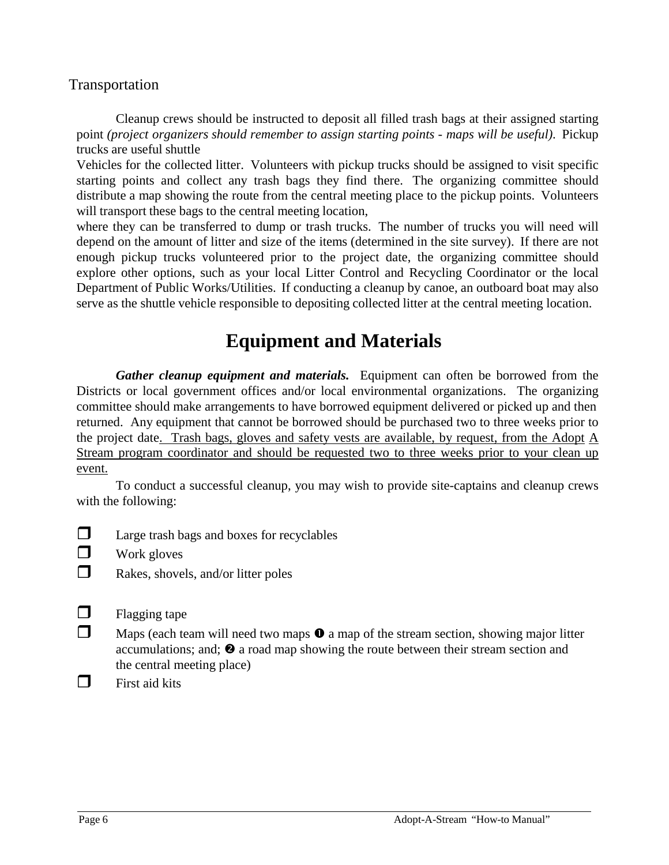#### Transportation

Cleanup crews should be instructed to deposit all filled trash bags at their assigned starting point *(project organizers should remember to assign starting points - maps will be useful)*. Pickup trucks are useful shuttle

Vehicles for the collected litter. Volunteers with pickup trucks should be assigned to visit specific starting points and collect any trash bags they find there. The organizing committee should distribute a map showing the route from the central meeting place to the pickup points. Volunteers will transport these bags to the central meeting location,

where they can be transferred to dump or trash trucks. The number of trucks you will need will depend on the amount of litter and size of the items (determined in the site survey). If there are not enough pickup trucks volunteered prior to the project date, the organizing committee should explore other options, such as your local Litter Control and Recycling Coordinator or the local Department of Public Works/Utilities. If conducting a cleanup by canoe, an outboard boat may also serve as the shuttle vehicle responsible to depositing collected litter at the central meeting location.

## **Equipment and Materials**

*Gather cleanup equipment and materials.* Equipment can often be borrowed from the Districts or local government offices and/or local environmental organizations. The organizing committee should make arrangements to have borrowed equipment delivered or picked up and then returned. Any equipment that cannot be borrowed should be purchased two to three weeks prior to the project date. Trash bags, gloves and safety vests are available, by request, from the Adopt A Stream program coordinator and should be requested two to three weeks prior to your clean up event.

To conduct a successful cleanup, you may wish to provide site-captains and cleanup crews with the following:

- $\Box$  Large trash bags and boxes for recyclables
- $\Box$  Work gloves
- $\Box$  Rakes, shovels, and/or litter poles
- $\Box$  Flagging tape
- $\Box$  Maps (each team will need two maps  $\bullet$  a map of the stream section, showing major litter accumulations; and;  $\bullet$  a road map showing the route between their stream section and the central meeting place)
- $\Box$  First aid kits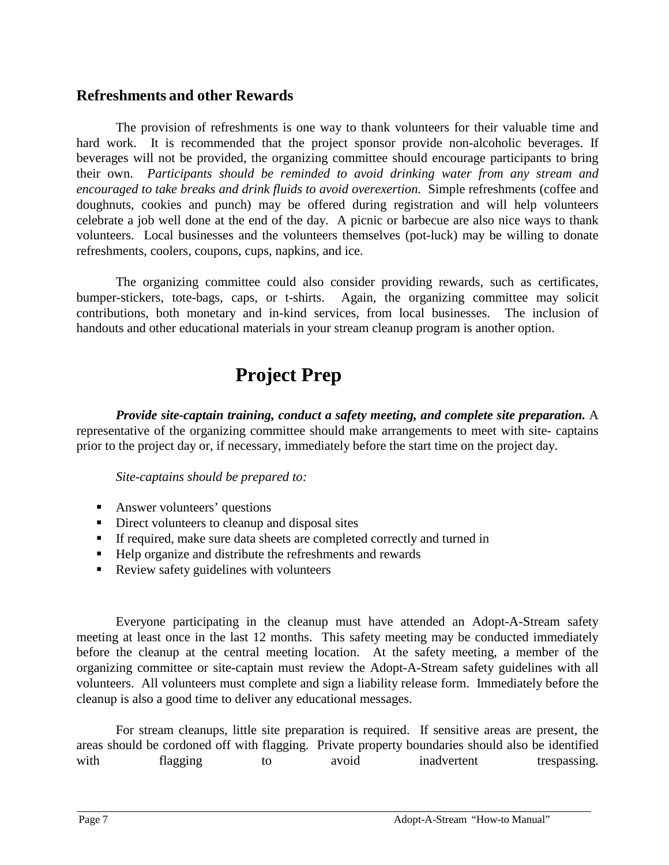#### **Refreshments and other Rewards**

The provision of refreshments is one way to thank volunteers for their valuable time and hard work. It is recommended that the project sponsor provide non-alcoholic beverages. If beverages will not be provided, the organizing committee should encourage participants to bring their own. *Participants should be reminded to avoid drinking water from any stream and encouraged to take breaks and drink fluids to avoid overexertion.* Simple refreshments (coffee and doughnuts, cookies and punch) may be offered during registration and will help volunteers celebrate a job well done at the end of the day. A picnic or barbecue are also nice ways to thank volunteers. Local businesses and the volunteers themselves (pot-luck) may be willing to donate refreshments, coolers, coupons, cups, napkins, and ice.

The organizing committee could also consider providing rewards, such as certificates, bumper-stickers, tote-bags, caps, or t-shirts. Again, the organizing committee may solicit contributions, both monetary and in-kind services, from local businesses. The inclusion of handouts and other educational materials in your stream cleanup program is another option.

# **Project Prep**

*Provide site-captain training, conduct a safety meeting, and complete site preparation.* A representative of the organizing committee should make arrangements to meet with site- captains prior to the project day or, if necessary, immediately before the start time on the project day.

*Site-captains should be prepared to:*

- **Answer volunteers' questions**
- Direct volunteers to cleanup and disposal sites
- If required, make sure data sheets are completed correctly and turned in
- Help organize and distribute the refreshments and rewards
- Review safety guidelines with volunteers

Everyone participating in the cleanup must have attended an Adopt-A-Stream safety meeting at least once in the last 12 months. This safety meeting may be conducted immediately before the cleanup at the central meeting location. At the safety meeting, a member of the organizing committee or site-captain must review the Adopt-A-Stream safety guidelines with all volunteers. All volunteers must complete and sign a liability release form. Immediately before the cleanup is also a good time to deliver any educational messages.

For stream cleanups, little site preparation is required. If sensitive areas are present, the areas should be cordoned off with flagging. Private property boundaries should also be identified with flagging to avoid inadvertent trespassing.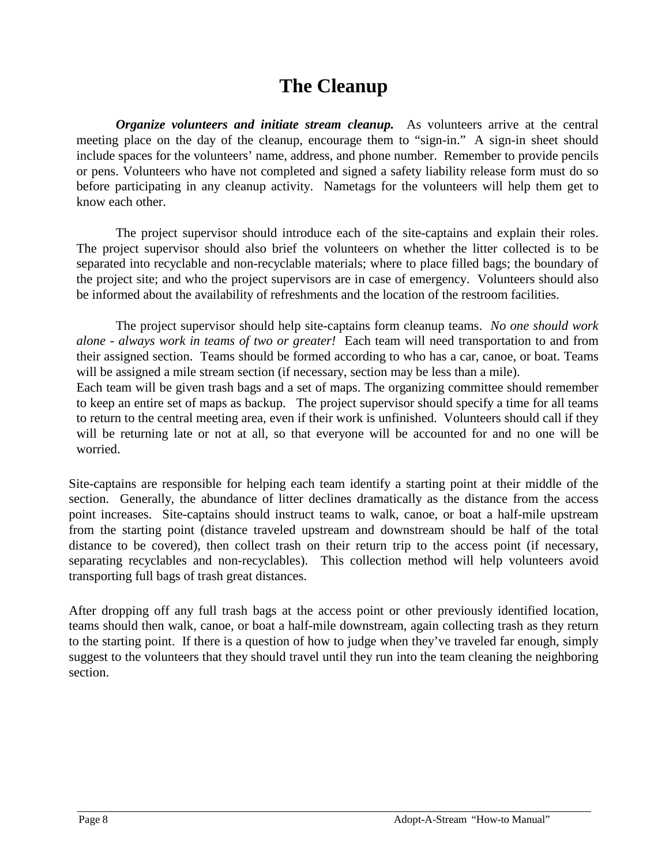## **The Cleanup**

*Organize volunteers and initiate stream cleanup.* As volunteers arrive at the central meeting place on the day of the cleanup, encourage them to "sign-in." A sign-in sheet should include spaces for the volunteers' name, address, and phone number. Remember to provide pencils or pens. Volunteers who have not completed and signed a safety liability release form must do so before participating in any cleanup activity. Nametags for the volunteers will help them get to know each other.

The project supervisor should introduce each of the site-captains and explain their roles. The project supervisor should also brief the volunteers on whether the litter collected is to be separated into recyclable and non-recyclable materials; where to place filled bags; the boundary of the project site; and who the project supervisors are in case of emergency. Volunteers should also be informed about the availability of refreshments and the location of the restroom facilities.

The project supervisor should help site-captains form cleanup teams. *No one should work alone - always work in teams of two or greater!* Each team will need transportation to and from their assigned section. Teams should be formed according to who has a car, canoe, or boat. Teams will be assigned a mile stream section (if necessary, section may be less than a mile).

Each team will be given trash bags and a set of maps. The organizing committee should remember to keep an entire set of maps as backup. The project supervisor should specify a time for all teams to return to the central meeting area, even if their work is unfinished. Volunteers should call if they will be returning late or not at all, so that everyone will be accounted for and no one will be worried.

Site-captains are responsible for helping each team identify a starting point at their middle of the section. Generally, the abundance of litter declines dramatically as the distance from the access point increases. Site-captains should instruct teams to walk, canoe, or boat a half-mile upstream from the starting point (distance traveled upstream and downstream should be half of the total distance to be covered), then collect trash on their return trip to the access point (if necessary, separating recyclables and non-recyclables). This collection method will help volunteers avoid transporting full bags of trash great distances.

After dropping off any full trash bags at the access point or other previously identified location, teams should then walk, canoe, or boat a half-mile downstream, again collecting trash as they return to the starting point. If there is a question of how to judge when they've traveled far enough, simply suggest to the volunteers that they should travel until they run into the team cleaning the neighboring section.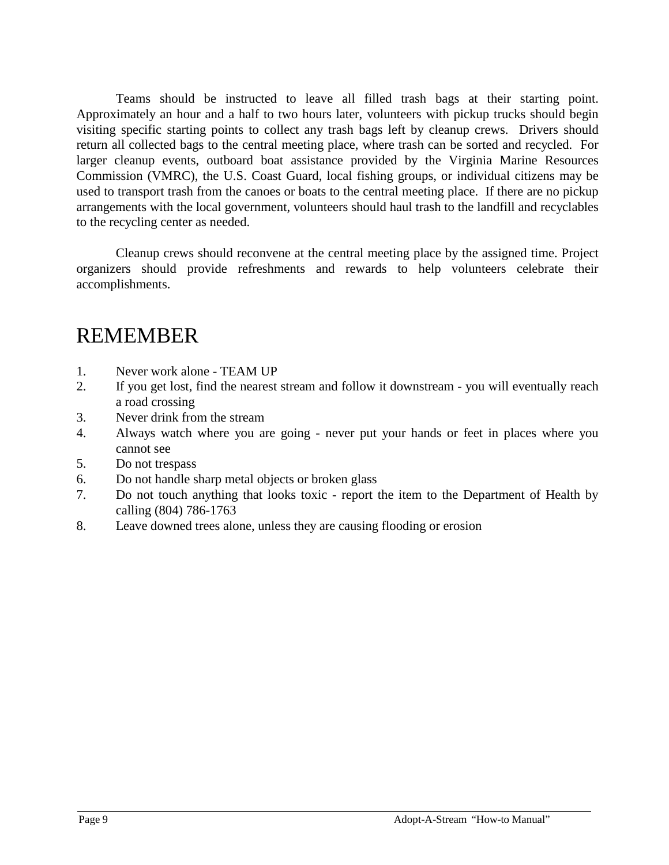Teams should be instructed to leave all filled trash bags at their starting point. Approximately an hour and a half to two hours later, volunteers with pickup trucks should begin visiting specific starting points to collect any trash bags left by cleanup crews. Drivers should return all collected bags to the central meeting place, where trash can be sorted and recycled. For larger cleanup events, outboard boat assistance provided by the Virginia Marine Resources Commission (VMRC), the U.S. Coast Guard, local fishing groups, or individual citizens may be used to transport trash from the canoes or boats to the central meeting place. If there are no pickup arrangements with the local government, volunteers should haul trash to the landfill and recyclables to the recycling center as needed.

Cleanup crews should reconvene at the central meeting place by the assigned time. Project organizers should provide refreshments and rewards to help volunteers celebrate their accomplishments.

# REMEMBER

- 1. Never work alone TEAM UP
- 2. If you get lost, find the nearest stream and follow it downstream you will eventually reach a road crossing
- 3. Never drink from the stream
- 4. Always watch where you are going never put your hands or feet in places where you cannot see
- 5. Do not trespass
- 6. Do not handle sharp metal objects or broken glass
- 7. Do not touch anything that looks toxic report the item to the Department of Health by calling (804) 786-1763
- 8. Leave downed trees alone, unless they are causing flooding or erosion